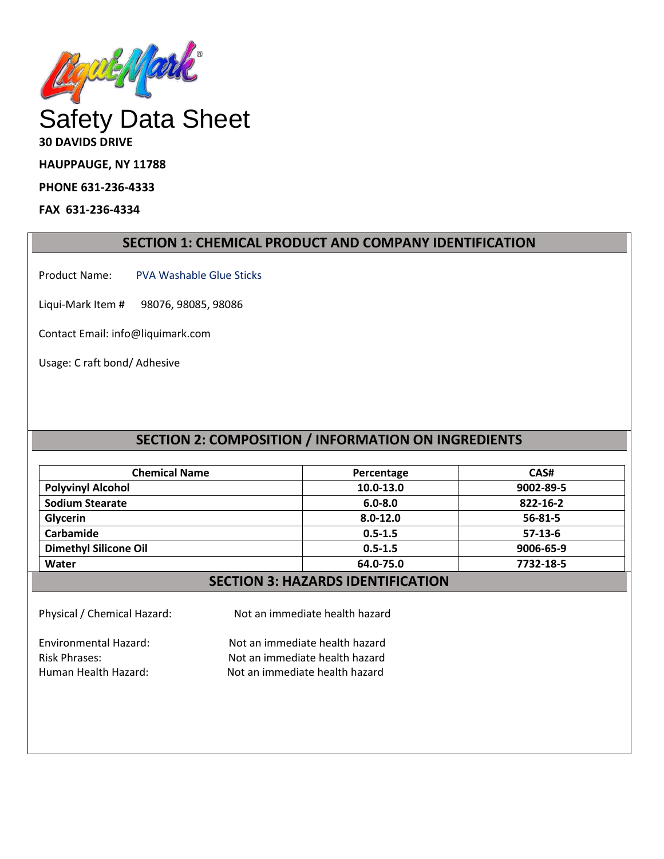

**30 DAVIDS DRIVE**

**HAUPPAUGE, NY 11788**

**PHONE 631-236-4333**

**FAX 631-236-4334**

## **SECTION 1: CHEMICAL PRODUCT AND COMPANY IDENTIFICATION**

Product Name: PVA Washable Glue Sticks

Liqui-Mark Item # 98076, 98085, 98086

Contact Email: info@liquimark.com

Usage: C raft bond/ Adhesive

# **SECTION 2: COMPOSITION / INFORMATION ON INGREDIENTS**

| <b>Chemical Name</b>         | Percentage   | CAS#          |
|------------------------------|--------------|---------------|
| <b>Polyvinyl Alcohol</b>     | 10.0-13.0    | 9002-89-5     |
| <b>Sodium Stearate</b>       | $6.0 - 8.0$  | 822-16-2      |
| Glycerin                     | $8.0 - 12.0$ | $56 - 81 - 5$ |
| Carbamide                    | $0.5 - 1.5$  | $57-13-6$     |
| <b>Dimethyl Silicone Oil</b> | $0.5 - 1.5$  | 9006-65-9     |
| Water                        | 64.0-75.0    | 7732-18-5     |

## **SECTION 3: HAZARDS IDENTIFICATION**

Physical / Chemical Hazard: Not an immediate health hazard

Environmental Hazard: Not an immediate health hazard

Risk Phrases: Not an immediate health hazard Human Health Hazard: Not an immediate health hazard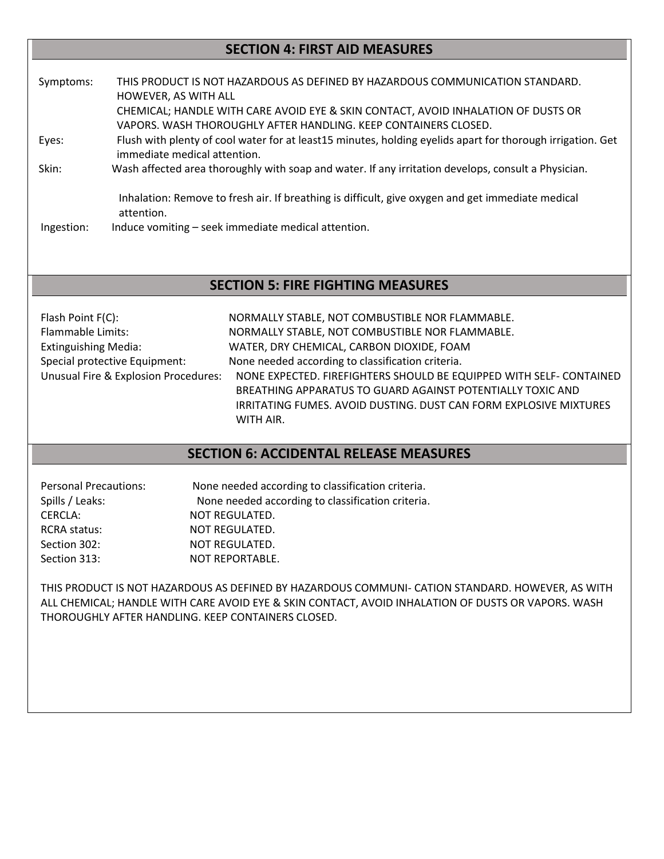# **SECTION 4: FIRST AID MEASURES**

| Symptoms:  | THIS PRODUCT IS NOT HAZARDOUS AS DEFINED BY HAZARDOUS COMMUNICATION STANDARD.<br>HOWEVER, AS WITH ALL                                                |
|------------|------------------------------------------------------------------------------------------------------------------------------------------------------|
|            | CHEMICAL; HANDLE WITH CARE AVOID EYE & SKIN CONTACT, AVOID INHALATION OF DUSTS OR<br>VAPORS. WASH THOROUGHLY AFTER HANDLING. KEEP CONTAINERS CLOSED. |
| Eyes:      | Flush with plenty of cool water for at least15 minutes, holding eyelids apart for thorough irrigation. Get<br>immediate medical attention.           |
| Skin:      | Wash affected area thoroughly with soap and water. If any irritation develops, consult a Physician.                                                  |
|            | Inhalation: Remove to fresh air. If breathing is difficult, give oxygen and get immediate medical<br>attention.                                      |
| Ingestion: | Induce vomiting – seek immediate medical attention.                                                                                                  |

## **SECTION 5: FIRE FIGHTING MEASURES**

| Flash Point F(C):                    | NORMALLY STABLE, NOT COMBUSTIBLE NOR FLAMMABLE.                          |
|--------------------------------------|--------------------------------------------------------------------------|
| <b>Flammable Limits:</b>             | NORMALLY STABLE, NOT COMBUSTIBLE NOR FLAMMABLE.                          |
| <b>Extinguishing Media:</b>          | WATER, DRY CHEMICAL, CARBON DIOXIDE, FOAM                                |
| Special protective Equipment:        | None needed according to classification criteria.                        |
| Unusual Fire & Explosion Procedures: | NONE EXPECTED. FIREFIGHTERS SHOULD BE EQUIPPED WITH SELF- CONTAINED      |
|                                      | BREATHING APPARATUS TO GUARD AGAINST POTENTIALLY TOXIC AND               |
|                                      | <b>IRRITATING FUMES. AVOID DUSTING. DUST CAN FORM EXPLOSIVE MIXTURES</b> |
|                                      | WITH AIR.                                                                |

## **SECTION 6: ACCIDENTAL RELEASE MEASURES**

| <b>Personal Precautions:</b> | None needed according to classification criteria. |
|------------------------------|---------------------------------------------------|
| Spills / Leaks:              | None needed according to classification criteria. |
| <b>CERCLA:</b>               | NOT REGULATED.                                    |
| <b>RCRA status:</b>          | NOT REGULATED.                                    |
| Section 302:                 | NOT REGULATED.                                    |
| Section 313:                 | <b>NOT REPORTABLE.</b>                            |

THIS PRODUCT IS NOT HAZARDOUS AS DEFINED BY HAZARDOUS COMMUNI- CATION STANDARD. HOWEVER, AS WITH ALL CHEMICAL; HANDLE WITH CARE AVOID EYE & SKIN CONTACT, AVOID INHALATION OF DUSTS OR VAPORS. WASH THOROUGHLY AFTER HANDLING. KEEP CONTAINERS CLOSED.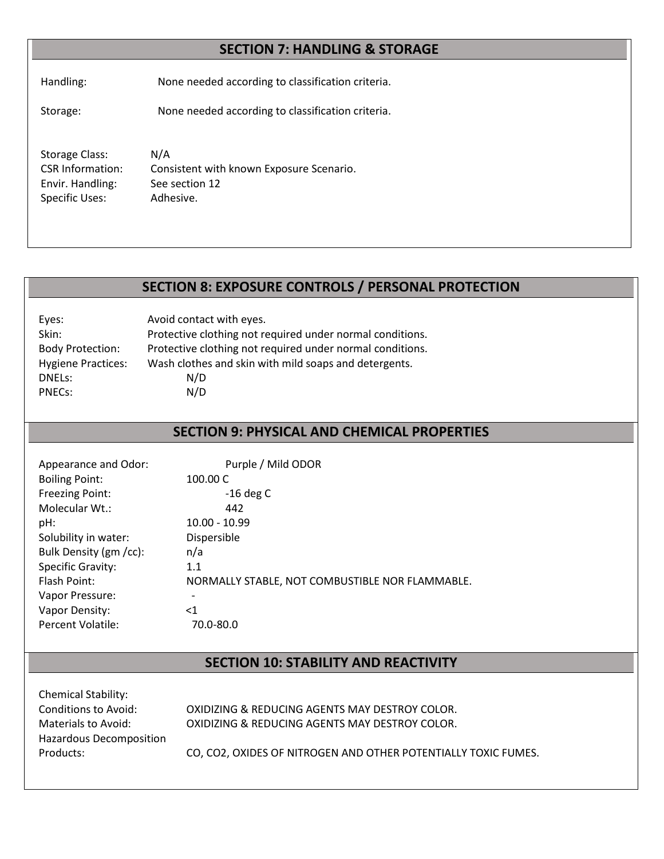# **SECTION 7: HANDLING & STORAGE**

Handling: None needed according to classification criteria.

Storage: None needed according to classification criteria.

Storage Class: N/A CSR Information: Consistent with known Exposure Scenario. Envir. Handling: See section 12 Specific Uses: Adhesive.

## **SECTION 8: EXPOSURE CONTROLS / PERSONAL PROTECTION**

| Eyes:                     | Avoid contact with eyes.                                  |
|---------------------------|-----------------------------------------------------------|
| Skin:                     | Protective clothing not required under normal conditions. |
| <b>Body Protection:</b>   | Protective clothing not required under normal conditions. |
| <b>Hygiene Practices:</b> | Wash clothes and skin with mild soaps and detergents.     |
| DNELS:                    | N/D                                                       |
| PNEC <sub>s</sub> :       | N/D                                                       |

## **SECTION 9: PHYSICAL AND CHEMICAL PROPERTIES**

| Appearance and Odor:     | Purple / Mild ODOR                              |
|--------------------------|-------------------------------------------------|
| <b>Boiling Point:</b>    | 100.00 C                                        |
| <b>Freezing Point:</b>   | $-16$ deg C                                     |
| Molecular Wt.:           | 442                                             |
| pH:                      | $10.00 - 10.99$                                 |
| Solubility in water:     | Dispersible                                     |
| Bulk Density (gm /cc):   | n/a                                             |
| <b>Specific Gravity:</b> | 1.1                                             |
| Flash Point:             | NORMALLY STABLE, NOT COMBUSTIBLE NOR FLAMMABLE. |
| Vapor Pressure:          |                                                 |
| Vapor Density:           | <1                                              |
| Percent Volatile:        | 70.0-80.0                                       |

## **SECTION 10: STABILITY AND REACTIVITY**

| <b>Chemical Stability:</b> |                                                                |
|----------------------------|----------------------------------------------------------------|
| Conditions to Avoid:       | OXIDIZING & REDUCING AGENTS MAY DESTROY COLOR.                 |
| Materials to Avoid:        | OXIDIZING & REDUCING AGENTS MAY DESTROY COLOR.                 |
| Hazardous Decomposition    |                                                                |
| Products:                  | CO, CO2, OXIDES OF NITROGEN AND OTHER POTENTIALLY TOXIC FUMES. |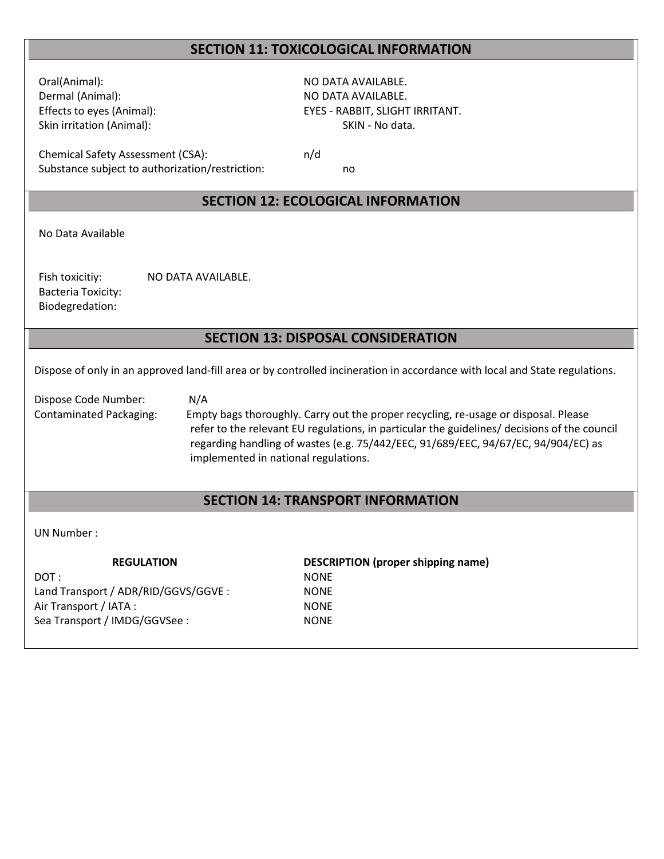## **SECTION 11: TOXICOLOGICAL INFORMATION**

Oral(Animal): NO DATA AVAILABLE. Dermal (Animal): NO DATA AVAILABLE. Skin irritation (Animal): Skin irritation (Animal): SKIN - No data.

Effects to eyes (Animal): EYES - RABBIT, SLIGHT IRRITANT.

Chemical Safety Assessment (CSA): n/d Substance subject to authorization/restriction: no

## **SECTION 12: ECOLOGICAL INFORMATION**

No Data Available

Fish toxicitiy: NO DATA AVAILABLE. Bacteria Toxicity: Biodegredation:

## **SECTION 13: DISPOSAL CONSIDERATION**

Dispose of only in an approved land-fill area or by controlled incineration in accordance with local and State regulations.

Dispose Code Number: N/A

Contaminated Packaging: Empty bags thoroughly. Carry out the proper recycling, re-usage or disposal. Please refer to the relevant EU regulations, in particular the guidelines/ decisions of the council regarding handling of wastes (e.g. 75/442/EEC, 91/689/EEC, 94/67/EC, 94/904/EC) as implemented in national regulations.

## **SECTION 14: TRANSPORT INFORMATION**

#### UN Number :

DOT : NONE Land Transport / ADR/RID/GGVS/GGVE : NONE Air Transport / IATA : NONE Sea Transport / IMDG/GGVSee : NONE

**REGULATION DESCRIPTION (proper shipping name)**